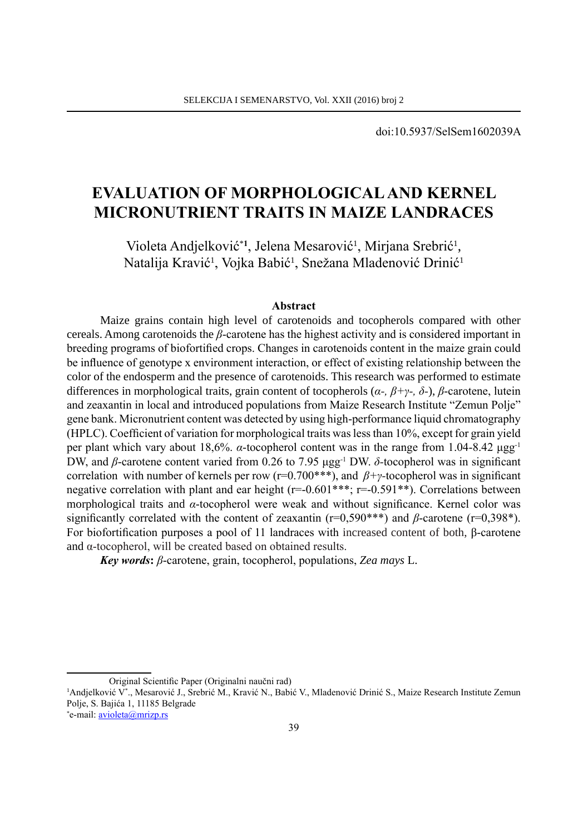doi:10.5937/SelSem1602039A

# **EvaLUatIon oF MorPhoLoGICaL anD kErnEL MICronUtrIEnt traItS In MaIzE LanDraCES**

Violeta Andjelković<sup>\*1</sup>, Jelena Mesarović<sup>1</sup>, Mirjana Srebrić<sup>1</sup>, Natalija Kravić<sup>1</sup>, Vojka Babić<sup>1</sup>, Snežana Mladenović Drinić<sup>1</sup>

#### **abstract**

Maize grains contain high level of carotenoids and tocopherols compared with other cereals. Among carotenoids the *β*-carotene has the highest activity and is considered important in breeding programs of biofortified crops. Changes in carotenoids content in the maize grain could be influence of genotype x environment interaction, or effect of existing relationship between the color of the endosperm and the presence of carotenoids. This research was performed to estimate differences in morphological traits, grain content of tocopherols (*α-, β+γ-, δ-*), *β*-carotene, lutein and zeaxantin in local and introduced populations from Maize Research Institute "Zemun Polje" gene bank. Micronutrient content was detected by using high-performance liquid chromatography (HPLC). Coefficient of variation for morphological traits was less than 10%, except for grain yield per plant which vary about 18,6%. *α*-tocopherol content was in the range from 1.04-8.42 μgg-1 DW, and *β*-carotene content varied from 0.26 to 7.95 μgg<sup>-1</sup> DW. *δ*-tocopherol was in significant correlation with number of kernels per row (r=0.700\*\*\*), and *β+γ-*tocopherol was in significant negative correlation with plant and ear height  $(r=-0.601***; r=-0.591**)$ . Correlations between morphological traits and *α*-tocopherol were weak and without significance. Kernel color was significantly correlated with the content of zeaxantin (r=0,590\*\*\*) and *β*-carotene (r=0,398\*). For biofortification purposes a pool of 11 landraces with increased content of both, β-carotene and α-tocopherol, will be created based on obtained results.

*Key words***:** *β*-carotene, grain, tocopherol, populations, *Zea mays* L.

Original Scientific Paper (Originalni naučni rad)

<sup>&</sup>lt;sup>1</sup>Andjelković V\*., Mesarović J., Srebrić M., Kravić N., Babić V., Mladenović Drinić S., Maize Research Institute Zemun Polje, S. Bajića 1, 11185 Belgrade

<sup>\*</sup>e-mail: **<u>avioleta@mrizp.rs</u>**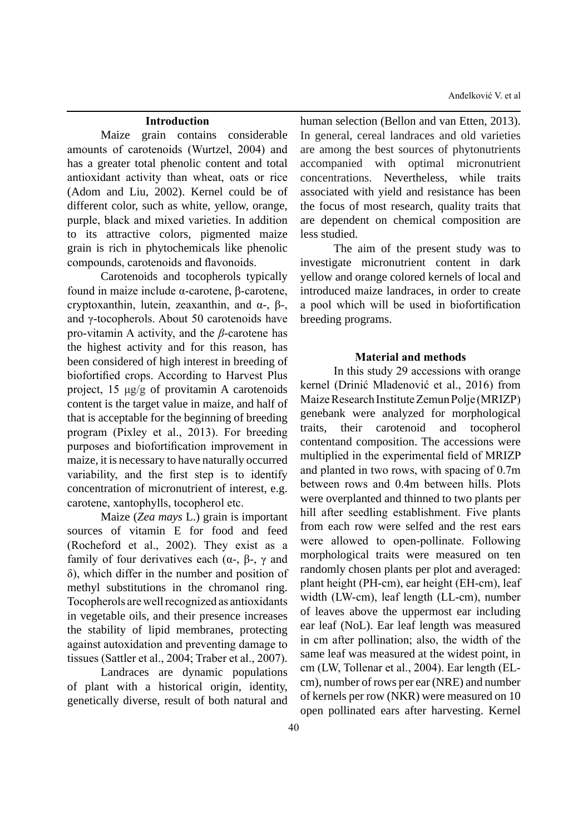Anđelković V. et al

#### **Introduction**

Maize grain contains considerable amounts of carotenoids (Wurtzel, 2004) and has a greater total phenolic content and total antioxidant activity than wheat, oats or rice (Adom and Liu, 2002). Kernel could be of different color, such as white, yellow, orange, purple, black and mixed varieties. In addition to its attractive colors, pigmented maize grain is rich in phytochemicals like phenolic compounds, carotenoids and flavonoids.

Carotenoids and tocopherols typically found in maize include α-carotene, β-carotene, cryptoxanthin, lutein, zeaxanthin, and α-, β-, and γ-tocopherols. About 50 carotenoids have pro-vitamin A activity, and the *β*-carotene has the highest activity and for this reason, has been considered of high interest in breeding of biofortified crops. According to Harvest Plus project, 15 μg/g of provitamin A carotenoids content is the target value in maize, and half of that is acceptable for the beginning of breeding program (Pixley et al., 2013). For breeding purposes and biofortification improvement in maize, it is necessary to have naturally occurred variability, and the first step is to identify concentration of micronutrient of interest, e.g. carotene, xantophylls, tocopherol etc.

Maize (*Zea mays* L.) grain is important sources of vitamin E for food and feed (Rocheford et al., 2002). They exist as a family of four derivatives each (α-, β-, γ and δ), which differ in the number and position of methyl substitutions in the chromanol ring. Tocopherols are well recognized as antioxidants in vegetable oils, and their presence increases the stability of lipid membranes, protecting against autoxidation and preventing damage to tissues (Sattler et al., 2004; Traber et al., 2007).

Landraces are dynamic populations of plant with a historical origin, identity, genetically diverse, result of both natural and human selection (Bellon and van Etten, 2013). In general, cereal landraces and old varieties are among the best sources of phytonutrients accompanied with optimal micronutrient concentrations. Nevertheless, while traits associated with yield and resistance has been the focus of most research, quality traits that are dependent on chemical composition are less studied.

The aim of the present study was to investigate micronutrient content in dark yellow and orange colored kernels of local and introduced maize landraces, in order to create a pool which will be used in biofortification breeding programs.

#### **Material and methods**

In this study 29 accessions with orange kernel (Drinić Mladenović et al., 2016) from Maize Research Institute Zemun Polje (MRIZP) genebank were analyzed for morphological traits, their carotenoid and tocopherol contentand composition. The accessions were multiplied in the experimental field of MRIZP and planted in two rows, with spacing of 0.7m between rows and 0.4m between hills. Plots were overplanted and thinned to two plants per hill after seedling establishment. Five plants from each row were selfed and the rest ears were allowed to open-pollinate. Following morphological traits were measured on ten randomly chosen plants per plot and averaged: plant height (PH-cm), ear height (EH-cm), leaf width (LW-cm), leaf length (LL-cm), number of leaves above the uppermost ear including ear leaf (NoL). Ear leaf length was measured in cm after pollination; also, the width of the same leaf was measured at the widest point, in cm (LW, Tollenar et al., 2004). Ear length (ELcm), number of rows per ear (NRE) and number of kernels per row (NKR) were measured on 10 open pollinated ears after harvesting. Kernel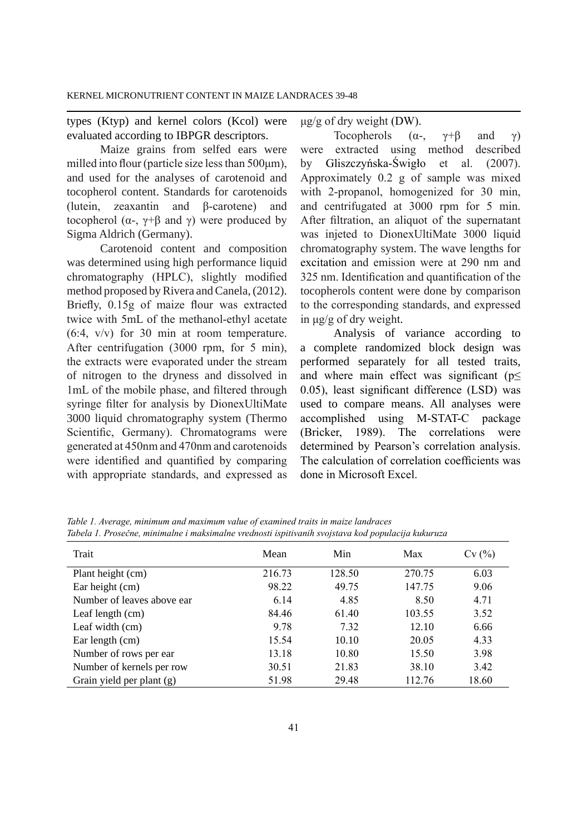types (Ktyp) and kernel colors (Kcol) were evaluated according to IBPGR descriptors.

Maize grains from selfed ears were milled into flour (particle size less than 500μm), and used for the analyses of carotenoid and tocopherol content. Standards for carotenoids (lutein, zeaxantin and β-carotene) and tocopherol ( $\alpha$ -,  $\gamma$ +β and  $\gamma$ ) were produced by Sigma Aldrich (Germany).

Carotenoid content and composition was determined using high performance liquid chromatography (HPLC), slightly modified method proposed by Rivera and Canela, (2012). Briefly, 0.15g of maize flour was extracted twice with 5mL of the methanol-ethyl acetate (6:4, v/v) for 30 min at room temperature. After centrifugation (3000 rpm, for 5 min), the extracts were evaporated under the stream of nitrogen to the dryness and dissolved in 1mL of the mobile phase, and filtered through syringe filter for analysis by DionexUltiMate 3000 liquid chromatography system (Thermo Scientific, Germany). Chromatograms were generated at 450nm and 470nm and carotenoids were identified and quantified by comparing with appropriate standards, and expressed as μg/g of dry weight (DW).

Tocopherols  $(\alpha_{\tau}, \gamma_{\tau})^{\beta}$  and  $\gamma$ ) were extracted using method described by Gliszczyńska-Świgło et al. (2007). Approximately 0.2 g of sample was mixed with 2-propanol, homogenized for 30 min, and centrifugated at 3000 rpm for 5 min. After filtration, an aliquot of the supernatant was injeted to DionexUltiMate 3000 liquid chromatography system. The wave lengths for excitation and emission were at 290 nm and 325 nm. Identification and quantification of the tocopherols content were done by comparison to the corresponding standards, and expressed in μg/g of dry weight.

Analysis of variance according to a complete randomized block design was performed separately for all tested traits, and where main effect was significant ( $p \leq$ 0.05), least significant difference (LSD) was used to compare means. All analyses were accomplished using M-STAT-C package (Bricker, 1989). The correlations were determined by Pearson's correlation analysis. The calculation of correlation coefficients was done in Microsoft Excel.

| Trait                      | Mean   | Min    | Max    | Cv(%) |
|----------------------------|--------|--------|--------|-------|
| Plant height (cm)          | 216.73 | 128.50 | 270.75 | 6.03  |
| Ear height (cm)            | 98.22  | 49.75  | 147.75 | 9.06  |
| Number of leaves above ear | 6.14   | 4.85   | 8.50   | 4.71  |
| Leaf length $(cm)$         | 84.46  | 61.40  | 103.55 | 3.52  |
| Leaf width (cm)            | 9.78   | 7.32   | 12.10  | 6.66  |
| Ear length (cm)            | 15.54  | 10.10  | 20.05  | 4.33  |
| Number of rows per ear.    | 13.18  | 10.80  | 15.50  | 3.98  |
| Number of kernels per row  | 30.51  | 21.83  | 38.10  | 3.42  |
| Grain yield per plant (g)  | 51.98  | 29.48  | 112.76 | 18.60 |

*Table 1. Average, minimum and maximum value of examined traits in maize landraces Tabela 1. Prosečne, minimalne i maksimalne vrednosti ispitivanih svojstava kod populacija kukuruza*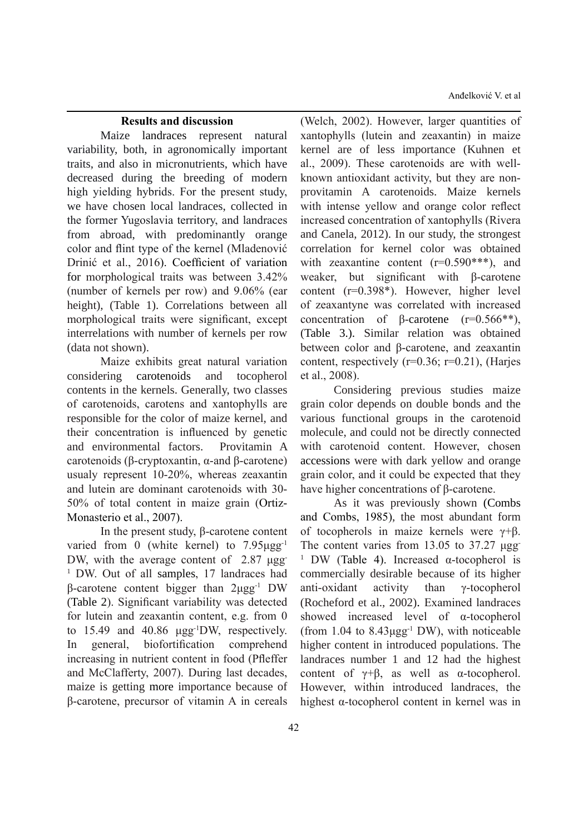Anđelković V. et al

#### **results and discussion**

Maize landraces represent natural variability, both, in agronomically important traits, and also in micronutrients, which have decreased during the breeding of modern high yielding hybrids. For the present study, we have chosen local landraces, collected in the former Yugoslavia territory, and landraces from abroad, with predominantly orange color and flint type of the kernel (Mladenović Drinić et al., 2016). Coefficient of variation for morphological traits was between 3.42% (number of kernels per row) and 9.06% (ear height), (Table 1). Correlations between all morphological traits were significant, except interrelations with number of kernels per row (data not shown).

Maize exhibits great natural variation considering carotenoids and tocopherol contents in the kernels. Generally, two classes of carotenoids, carotens and xantophylls are responsible for the color of maize kernel, and their concentration is influenced by genetic and environmental factors. Provitamin A carotenoids (β-cryptoxantin, α-and β-carotene) usualy represent 10-20%, whereas zeaxantin and lutein are dominant carotenoids with 30- 50% of total content in maize grain (Ortiz-Monasterio et al., 2007).

In the present study, β-carotene content varied from 0 (white kernel) to 7.95μgg-1 DW, with the average content of 2.87 μgg 1 DW. Out of all samples, 17 landraces had β-carotene content bigger than 2μgg-1 DW (Table 2). Significant variability was detected for lutein and zeaxantin content, e.g. from 0 to 15.49 and 40.86 μgg-1DW, respectively. In general, biofortification comprehend increasing in nutrient content in food (Pfleffer and McClafferty, 2007). During last decades, maize is getting more importance because of β-carotene, precursor of vitamin A in cereals

(Welch, 2002). However, larger quantities of xantophylls (lutein and zeaxantin) in maize kernel are of less importance (Kuhnen et al., 2009). These carotenoids are with wellknown antioxidant activity, but they are nonprovitamin A carotenoids. Maize kernels with intense yellow and orange color reflect increased concentration of xantophylls (Rivera and Canela, 2012). In our study, the strongest correlation for kernel color was obtained with zeaxantine content  $(r=0.590***)$ , and weaker, but significant with β-carotene content (r=0.398\*). However, higher level of zeaxantyne was correlated with increased concentration of β-carotene (r=0.566\*\*), (Table 3.). Similar relation was obtained between color and β-carotene, and zeaxantin content, respectively  $(r=0.36; r=0.21)$ , (Harjes et al., 2008).

Considering previous studies maize grain color depends on double bonds and the various functional groups in the carotenoid molecule, and could not be directly connected with carotenoid content. However, chosen accessions were with dark yellow and orange grain color, and it could be expected that they have higher concentrations of β-carotene.

As it was previously shown (Combs and Combs, 1985), the most abundant form of tocopherols in maize kernels were  $γ+β$ . The content varies from 13.05 to 37.27 μgg-<sup>1</sup> DW (Table 4). Increased α-tocopherol is commercially desirable because of its higher anti-oxidant activity than γ-tocopherol (Rocheford et al., 2002). Examined landraces showed increased level of α-tocopherol (from  $1.04$  to  $8.43 \mu$ gg<sup>-1</sup> DW), with noticeable higher content in introduced populations. The landraces number 1 and 12 had the highest content of  $\gamma + \beta$ , as well as  $\alpha$ -tocopherol. However, within introduced landraces, the highest α-tocopherol content in kernel was in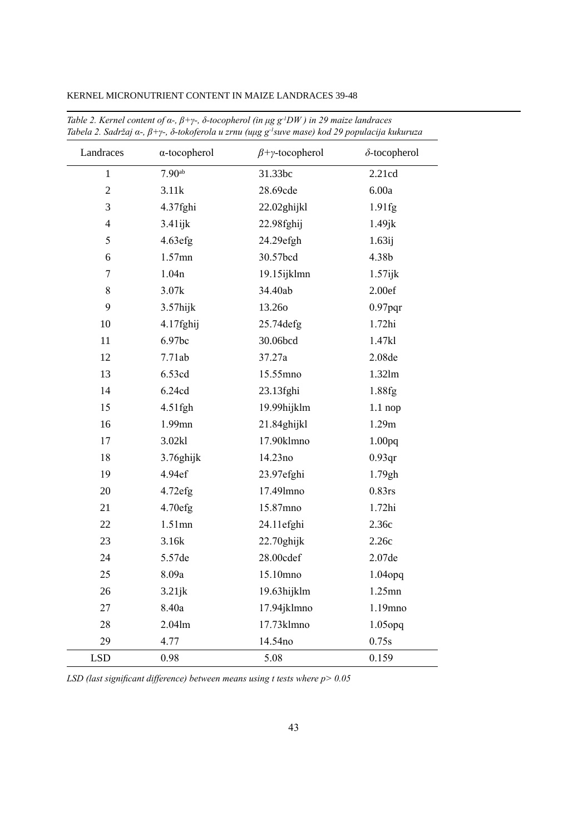| Landraces               | $\alpha$ -tocopherol | $\beta + \gamma$ -tocopherol | $\delta$ -tocopherol |
|-------------------------|----------------------|------------------------------|----------------------|
| $\mathbf{1}$            | 7.90 <sup>ab</sup>   | 31.33bc                      | 2.21cd               |
| $\overline{2}$          | 3.11k                | 28.69cde                     | 6.00a                |
| 3                       | 4.37fghi             | 22.02ghijkl                  | 1.91fg               |
| $\overline{\mathbf{4}}$ | 3.41ijk              | 22.98fghij                   | $1.49$ jk            |
| 5                       | 4.63efg              | 24.29efgh                    | 1.63 <sub>ij</sub>   |
| 6                       | 1.57mn               | 30.57bcd                     | 4.38b                |
| $\overline{7}$          | 1.04n                | 19.15ijklmn                  | $1.57$ ijk           |
| 8                       | 3.07k                | 34.40ab                      | 2.00ef               |
| 9                       | 3.57hijk             | 13.260                       | $0.97$ pqr           |
| 10                      | 4.17fghij            | 25.74 defg                   | $1.72$ hi            |
| 11                      | 6.97bc               | 30.06bcd                     | 1.47kl               |
| 12                      | 7.71ab               | 37.27a                       | 2.08de               |
| 13                      | 6.53cd               | 15.55mno                     | 1.32lm               |
| 14                      | 6.24cd               | 23.13fghi                    | 1.88fg               |
| 15                      | 4.51fgh              | 19.99hijklm                  | $1.1$ nop            |
| 16                      | 1.99mn               | 21.84ghijkl                  | 1.29m                |
| 17                      | 3.02kl               | 17.90klmno                   | 1.00 <sub>pq</sub>   |
| 18                      | 3.76ghijk            | 14.23no                      | 0.93 <sub>qr</sub>   |
| 19                      | 4.94ef               | 23.97efghi                   | 1.79gh               |
| 20                      | 4.72efg              | 17.491mno                    | $0.83$ rs            |
| 21                      | 4.70efg              | 15.87mno                     | 1.72hi               |
| 22                      | $1.51$ mn            | 24.11efghi                   | 2.36c                |
| 23                      | 3.16k                | $22.70$ ghijk                | 2.26c                |
| 24                      | 5.57de               | 28.00cdef                    | $2.07de$             |
| 25                      | 8.09a                | 15.10mno                     | 1.04opq              |
| 26                      | $3.21$ j $k$         | 19.63hijklm                  | 1.25mn               |
| 27                      | 8.40a                | 17.94jklmno                  | 1.19mno              |
| 28                      | 2.04lm               | 17.73klmno                   | $1.05$ opq           |
| 29                      | 4.77                 | 14.54no                      | 0.75s                |
| <b>LSD</b>              | 0.98                 | 5.08                         | 0.159                |

KERNEL MICRONUTRIENT CONTENT IN MAIZE LANDRACES 39-48

Table 2. Kernel content of  $\alpha$ -,  $\beta$ +y-,  $\delta$ -tocopherol (in µg g<sup>-1</sup>DW) in 29 maize landraces<br>Tabela 2. Sadržaj a-,  $\beta$ +y-,  $\delta$ -tokoferola u zrnu (uµg g<sup>-1</sup>suve mase) kod 29 populacija kukuruza

LSD (last significant difference) between means using t tests where  $p > 0.05$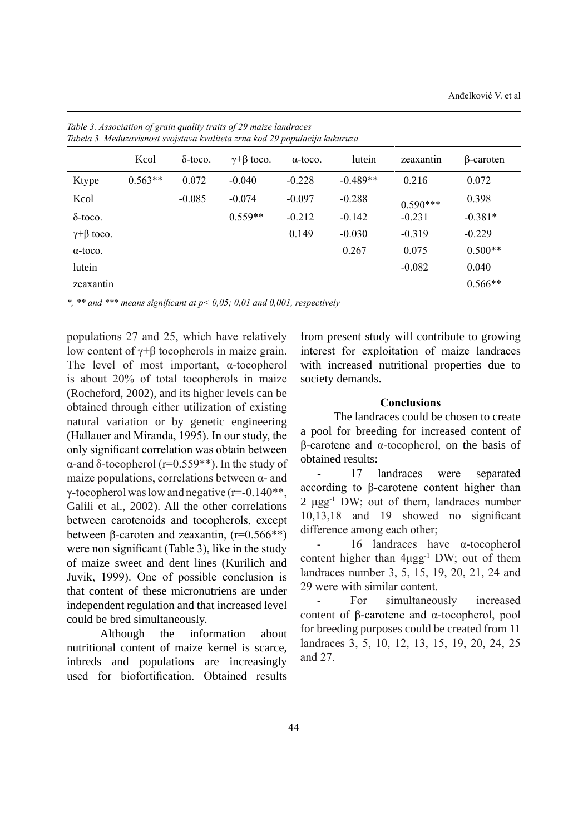| Tabela 3. Međuzavisnost svojstava kvaliteta zrna kod 29 populacija kukuruza |           |                 |                        |                 |            |            |           |
|-----------------------------------------------------------------------------|-----------|-----------------|------------------------|-----------------|------------|------------|-----------|
|                                                                             | Kcol      | $\delta$ -toco. | $\gamma + \beta$ toco. | $\alpha$ -toco. | lutein     | zeaxantin  | β-caroten |
| Ktype                                                                       | $0.563**$ | 0.072           | $-0.040$               | $-0.228$        | $-0.489**$ | 0.216      | 0.072     |
| Kcol                                                                        |           | $-0.085$        | $-0.074$               | $-0.097$        | $-0.288$   | $0.590***$ | 0.398     |
| $\delta$ -toco.                                                             |           |                 | $0.559**$              | $-0.212$        | $-0.142$   | $-0.231$   | $-0.381*$ |
| $\gamma + \beta$ toco.                                                      |           |                 |                        | 0.149           | $-0.030$   | $-0.319$   | $-0.229$  |
| $\alpha$ -toco.                                                             |           |                 |                        |                 | 0.267      | 0.075      | $0.500**$ |
| lutein                                                                      |           |                 |                        |                 |            | $-0.082$   | 0.040     |
| zeaxantin                                                                   |           |                 |                        |                 |            |            | $0.566**$ |

*Table 3. Association of grain quality traits of 29 maize landraces*

*\*, \*\* and \*\*\* means significant at p< 0,05; 0,01 and 0,001, respectively* 

populations 27 and 25, which have relatively low content of γ+β tocopherols in maize grain. The level of most important, α-tocopherol is about 20% of total tocopherols in maize (Rocheford, 2002), and its higher levels can be obtained through either utilization of existing natural variation or by genetic engineering (Hallauer and Miranda, 1995). In our study, the only significant correlation was obtain between α-and δ-tocopherol (r=0.559\*\*). In the study of maize populations, correlations between  $\alpha$ - and γ-tocopherol was low and negative  $(r=0.140**)$ , Galili et al., 2002). All the other correlations between carotenoids and tocopherols, except between β-caroten and zeaxantin,  $(r=0.566**)$ were non significant (Table 3), like in the study of maize sweet and dent lines (Kurilich and juvik, 1999). One of possible conclusion is that content of these micronutriens are under independent regulation and that increased level could be bred simultaneously.

Although the information about nutritional content of maize kernel is scarce, inbreds and populations are increasingly used for biofortification. Obtained results

from present study will contribute to growing interest for exploitation of maize landraces with increased nutritional properties due to society demands.

#### **Conclusions**

The landraces could be chosen to create a pool for breeding for increased content of β-carotene and α-tocopherol, on the basis of obtained results:

17 landraces were separated according to β-carotene content higher than 2 μgg-1 DW; out of them, landraces number 10,13,18 and 19 showed no significant difference among each other;

 $16$  landraces have α-tocopherol content higher than  $4\mu\text{g}g^{-1}$  DW; out of them landraces number 3, 5, 15, 19, 20, 21, 24 and 29 were with similar content.

For simultaneously increased content of β-carotene and α-tocopherol, pool for breeding purposes could be created from 11 landraces 3, 5, 10, 12, 13, 15, 19, 20, 24, 25 and 27.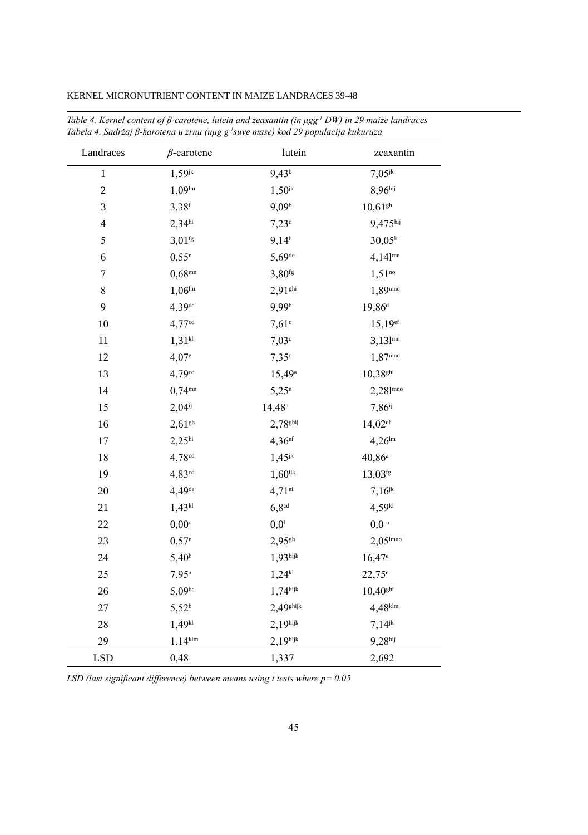| Landraces      | $\beta$ -carotene     | lutein               | zeaxantin              |
|----------------|-----------------------|----------------------|------------------------|
| $\mathbf{1}$   | $1,59^{jk}$           | $9,43^{b}$           | $7,05^{jk}$            |
| $\overline{c}$ | $1,09^{\text{lm}}$    | $1,50^{jk}$          | 8,96hij                |
| 3              | $3,38$ <sup>f</sup>   | $9,09^{\rm b}$       | $10{,}61^{\rm gh}$     |
| $\overline{4}$ | $2,34$ <sup>hi</sup>  | $7,23^{\circ}$       | 9,475hij               |
| 5              | $3,01$ <sup>fg</sup>  | $9,14^{b}$           | $30,05^{\rm b}$        |
| 6              | $0,55^n$              | $5,69$ <sup>de</sup> | $4,14$ l <sup>mn</sup> |
| 7              | $0,68^{mn}$           | $3,80$ fg            | $1,51^{no}$            |
| 8              | $1,06^{\text{lm}}$    | 2,91shi              | 1,89mno                |
| 9              | 4,39 <sup>de</sup>    | 9,99 <sup>b</sup>    | 19,86 <sup>d</sup>     |
| 10             | $4,77^{cd}$           | $7,61$ c             | 15,19 <sup>ef</sup>    |
| 11             | $1,31^{kl}$           | 7,03c                | $3,131$ <sup>mn</sup>  |
| 12             | $4,07$ <sup>e</sup>   | 7,35c                | $1,87^{\rm mno}$       |
| 13             | $4,79$ <sup>cd</sup>  | 15,49 <sup>a</sup>   | $10,38$ <sup>ghi</sup> |
| 14             | $0,74^{mn}$           | $5,25^\circ$         | $2,281^{\text{mno}}$   |
| 15             | $2,04^{ij}$           | $14,48^{\rm a}$      | $7,86^{ij}$            |
| 16             | $2,61$ <sup>gh</sup>  | 2,78shij             | $14,02$ <sup>ef</sup>  |
| 17             | 2,25 <sup>hi</sup>    | $4,36$ ef            | $4,26^{\text{lm}}$     |
| 18             | $4,78^{cd}$           | $1,45^{jk}$          | $40,86^{\rm a}$        |
| 19             | $4,83^{cd}$           | $1,60$ ijk           | 13,03fg                |
| 20             | 4,49 <sup>de</sup>    | $4,71$ ef            | $7,16^{jk}$            |
| 21             | $1,43^{kl}$           | $6,8^{cd}$           | $4,59^{kl}$            |
| 22             | $0,00^{\circ}$        | 0,0 <sup>1</sup>     | 0,0                    |
| 23             | 0,57 <sup>n</sup>     | $2,95$ gh            | $2,05$ <sup>lmno</sup> |
| 24             | $5,40^{\rm b}$        | $1,93$ hijk          | $16,47$ <sup>e</sup>   |
| 25             | $7,95^{\rm a}$        | $1,24^{k1}$          | $22,75^{\circ}$        |
| 26             | $5,09^{bc}$           | $1,74$ hijk          | $10,40$ <sup>ghi</sup> |
| 27             | $5,52^{b}$            | $2,49$ ghijk         | $4,48$ <sup>klm</sup>  |
| 28             | $1,49^{k1}$           | $2,19$ hijk          | $7,14^{jk}$            |
| 29             | $1,14$ <sup>klm</sup> | 2,19 <sup>hijk</sup> | 9,28hij                |
| <b>LSD</b>     | 0,48                  | 1,337                | 2,692                  |

KERNEL MICRONUTRIENT CONTENT IN MAIZE LANDRACES 39-48

Table 4. Kernel content of  $\beta$ -carotene, lutein and zeaxantin (in  $\mu gg^{-1}DW$ ) in 29 maize landraces Tabela 4. Sadržaj ß-karotena u zrnu (uµg g<sup>-1</sup>suve mase) kod 29 populacija kukuruza

LSD (last significant difference) between means using t tests where  $p = 0.05$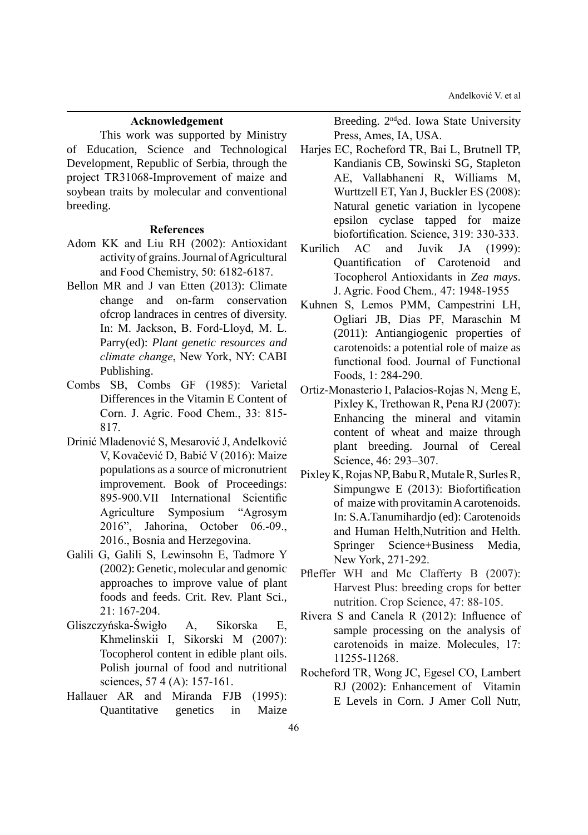#### **acknowledgement**

This work was supported by Ministry of Education, Science and Technological Development, Republic of Serbia, through the project TR31068-Improvement of maize and soybean traits by molecular and conventional breeding.

#### **references**

- Adom KK and Liu RH (2002): Antioxidant activity of grains. Journal of Agricultural and Food Chemistry, 50: 6182-6187.
- Bellon MR and J van Etten (2013): Climate change and on-farm conservation ofcrop landraces in centres of diversity. In: M. jackson, B. Ford-Lloyd, M. L. Parry(ed): *Plant genetic resources and climate change*, New York, NY: CABI Publishing.
- Combs SB, Combs GF (1985): Varietal Differences in the Vitamin E Content of Corn. j. Agric. Food Chem., 33: 815- 817.
- Drinić Mladenović S, Mesarović j, Anđelković V, Kovačević D, Babić V (2016): Maize populations as a source of micronutrient improvement. Book of Proceedings: 895-900.VII International Scientific Agriculture Symposium "Agrosym 2016", jahorina, October 06.-09., 2016., Bosnia and Herzegovina.
- Galili G, Galili S, Lewinsohn E, Tadmore Y (2002): Genetic, molecular and genomic approaches to improve value of plant foods and feeds. Crit. Rev. Plant Sci., 21: 167-204.
- Gliszczyńska-Świgło A, Sikorska E, Khmelinskii I, Sikorski M (2007): Tocopherol content in edible plant oils. Polish journal of food and nutritional sciences, 57 4 (A): 157-161.
- Hallauer AR and Miranda FJB (1995): Quantitative genetics in Maize

Breeding. 2nded. Iowa State University Press, Ames, IA, USA.

- Harjes EC, Rocheford TR, Bai L, Brutnell TP, Kandianis CB, Sowinski SG, Stapleton AE, Vallabhaneni R, Williams M, Wurttzell ET, Yan j, Buckler ES (2008): Natural genetic variation in lycopene epsilon cyclase tapped for maize biofortification. Science, 319: 330-333.
- Kurilich AC and Juvik JA (1999): Quantification of Carotenoid and Tocopherol Antioxidants in *Zea mays*. j. Agric. Food Chem*.,* 47: 1948-1955
- Kuhnen S, Lemos PMM, Campestrini LH, Ogliari jB, Dias PF, Maraschin M (2011): Antiangiogenic properties of carotenoids: a potential role of maize as functional food. journal of Functional Foods, 1: 284-290.
- Ortiz-Monasterio I, Palacios-Rojas N, Meng E, Pixley K, Trethowan R, Pena RJ (2007): Enhancing the mineral and vitamin content of wheat and maize through plant breeding. Journal of Cereal Science, 46: 293–307.
- Pixley K, Rojas NP, Babu R, Mutale R, Surles R, Simpungwe E (2013): Biofortification of maize with provitamin A carotenoids. In: S.A.Tanumihardjo (ed): Carotenoids and Human Helth,Nutrition and Helth. Springer Science+Business Media, New York, 271-292.
- Pfleffer WH and Mc Clafferty B (2007): Harvest Plus: breeding crops for better nutrition. Crop Science, 47: 88-105.
- Rivera S and Canela R (2012): Influence of sample processing on the analysis of carotenoids in maize. Molecules, 17: 11255-11268.
- Rocheford TR, Wong jC, Egesel CO, Lambert RJ (2002): Enhancement of Vitamin E Levels in Corn. J Amer Coll Nutr,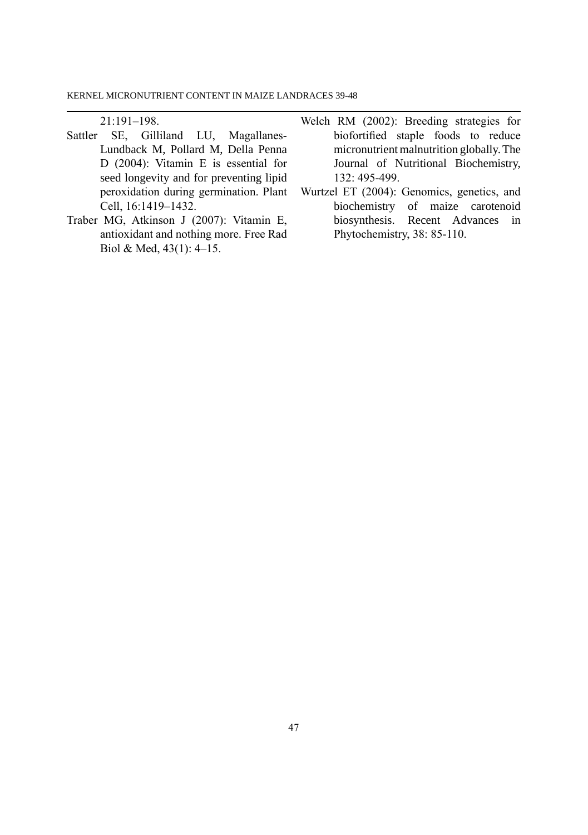21:191–198.

- Sattler SE, Gilliland LU, Magallanes-Lundback M, Pollard M, Della Penna D (2004): Vitamin E is essential for seed longevity and for preventing lipid peroxidation during germination. Plant Cell, 16:1419–1432.
- Traber MG, Atkinson j (2007): Vitamin E, antioxidant and nothing more. Free Rad Biol & Med, 43(1): 4–15.
- Welch RM (2002): Breeding strategies for biofortified staple foods to reduce micronutrient malnutrition globally. The Journal of Nutritional Biochemistry, 132: 495-499.
- Wurtzel ET (2004): Genomics, genetics, and biochemistry of maize carotenoid biosynthesis. Recent Advances in Phytochemistry, 38: 85-110.